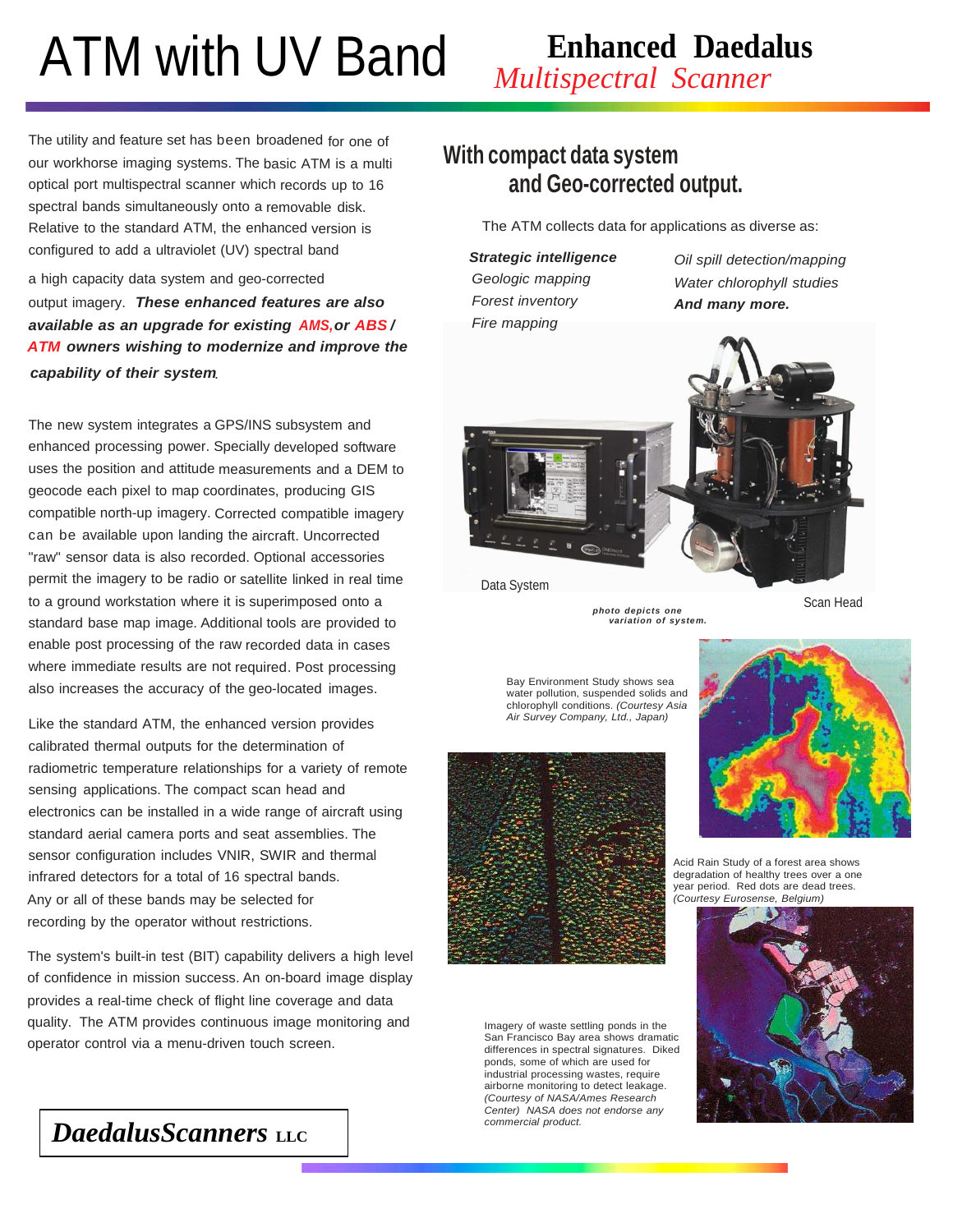# ATM with UV Band

## **Enhanced Daedalus**

*Multispectral Scanner*

The utility and feature set has been broadened for one of our workhorse imaging systems. The basic ATM is a multi optical port multispectral scanner which records up to 16 spectral bands simultaneously onto a removable disk. Relative to the standard ATM, the enhanced version is configured to add a ultraviolet (UV) spectral band

a high capacity data system and geo-corrected output imagery. *These enhanced features are also available as an upgrade for existing or / AMS, ABS ATM owners wishing to modernize and improve the capability of their system .*

The new system integrates a GPS/INS subsystem and enhanced processing power. Specially developed software uses the position and attitude measurements and a DEM to geocode each pixel to map coordinates, producing GIS compatible north-up imagery. Corrected compatible imagery can be available upon landing the aircraft. Uncorrected "raw" sensor data is also recorded. Optional accessories permit the imagery to be radio or satellite linked in real time to a ground workstation where it is superimposed onto a standard base map image. Additional tools are provided to enable post processing of the raw recorded data in cases where immediate results are not required. Post processing also increases the accuracy of the geo-located images.

Like the standard ATM, the enhanced version provides calibrated thermal outputs for the determination of radiometric temperature relationships for a variety of remote sensing applications. The compact scan head and electronics can be installed in a wide range of aircraft using standard aerial camera ports and seat assemblies. The sensor configuration includes VNIR, SWIR and thermal infrared detectors for a total of 16 spectral bands. Any or all of these bands may be selected for recording by the operator without restrictions.

The system's built-in test (BIT) capability delivers a high level of confidence in mission success. An on-board image display provides a real-time check of flight line coverage and data quality. The ATM provides continuous image monitoring and operator control via a menu-driven touch screen.

### **With compact data system and Geo-corrected output.**

The ATM collects data for applications as diverse as:

*Strategic intelligence Geologic mapping Forest inventory Fire mapping*

*Oil spill detection/mapping Water chlorophyll studies And many more.*



Data System

Scan Head

Bay Environment Study shows sea water pollution, suspended solids and

chlorophyll conditions. *(Courtesy Asia Air Survey Company, Ltd., Japan)*

*photo depicts one variation of system.*



Imagery of waste settling ponds in the San Francisco Bay area shows dramatic differences in spectral signatures. Diked ponds, some of which are used for industrial processing wastes, require airborne monitoring to detect leakage. *(Courtesy of NASA/Ames Research Center) NASA does not endorse any commercial product.*



Acid Rain Study of a forest area shows degradation of healthy trees over a one year period. Red dots are dead trees. *(Courtesy Eurosense, Belgium)*



*DaedalusScanners* LLC